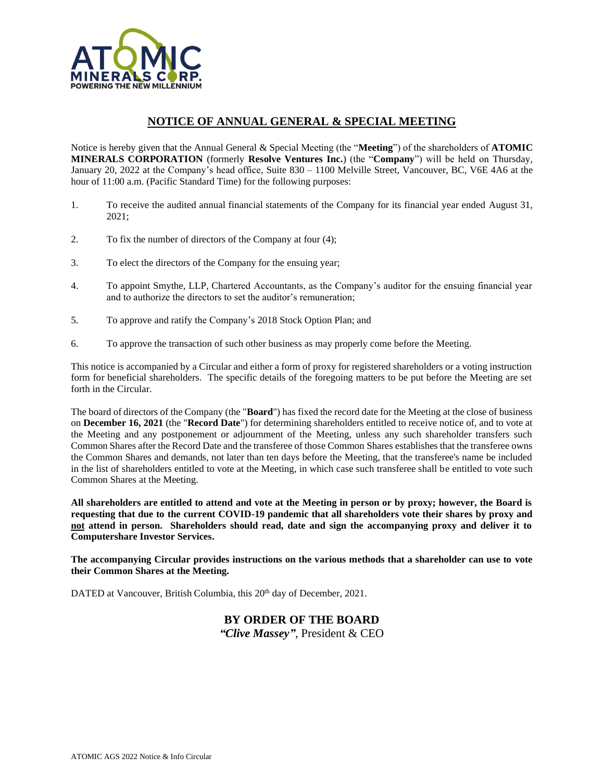

# **NOTICE OF ANNUAL GENERAL & SPECIAL MEETING**

Notice is hereby given that the Annual General & Special Meeting (the "**Meeting**") of the shareholders of **ATOMIC MINERALS CORPORATION** (formerly **Resolve Ventures Inc.**) (the "**Company**") will be held on Thursday, January 20, 2022 at the Company's head office, Suite 830 – 1100 Melville Street, Vancouver, BC, V6E 4A6 at the hour of 11:00 a.m. (Pacific Standard Time) for the following purposes:

- 1. To receive the audited annual financial statements of the Company for its financial year ended August 31, 2021;
- 2. To fix the number of directors of the Company at four (4);
- 3. To elect the directors of the Company for the ensuing year;
- 4. To appoint Smythe, LLP, Chartered Accountants, as the Company's auditor for the ensuing financial year and to authorize the directors to set the auditor's remuneration;
- 5. To approve and ratify the Company's 2018 Stock Option Plan; and
- 6. To approve the transaction of such other business as may properly come before the Meeting.

This notice is accompanied by a Circular and either a form of proxy for registered shareholders or a voting instruction form for beneficial shareholders. The specific details of the foregoing matters to be put before the Meeting are set forth in the Circular.

The board of directors of the Company (the "**Board**") has fixed the record date for the Meeting at the close of business on **December 16, 2021** (the "**Record Date**") for determining shareholders entitled to receive notice of, and to vote at the Meeting and any postponement or adjournment of the Meeting, unless any such shareholder transfers such Common Shares after the Record Date and the transferee of those Common Shares establishes that the transferee owns the Common Shares and demands, not later than ten days before the Meeting, that the transferee's name be included in the list of shareholders entitled to vote at the Meeting, in which case such transferee shall be entitled to vote such Common Shares at the Meeting.

**All shareholders are entitled to attend and vote at the Meeting in person or by proxy; however, the Board is requesting that due to the current COVID-19 pandemic that all shareholders vote their shares by proxy and not attend in person. Shareholders should read, date and sign the accompanying proxy and deliver it to Computershare Investor Services.** 

**The accompanying Circular provides instructions on the various methods that a shareholder can use to vote their Common Shares at the Meeting.** 

DATED at Vancouver, British Columbia, this 20<sup>th</sup> day of December, 2021.

# **BY ORDER OF THE BOARD**

*"Clive Massey",* President & CEO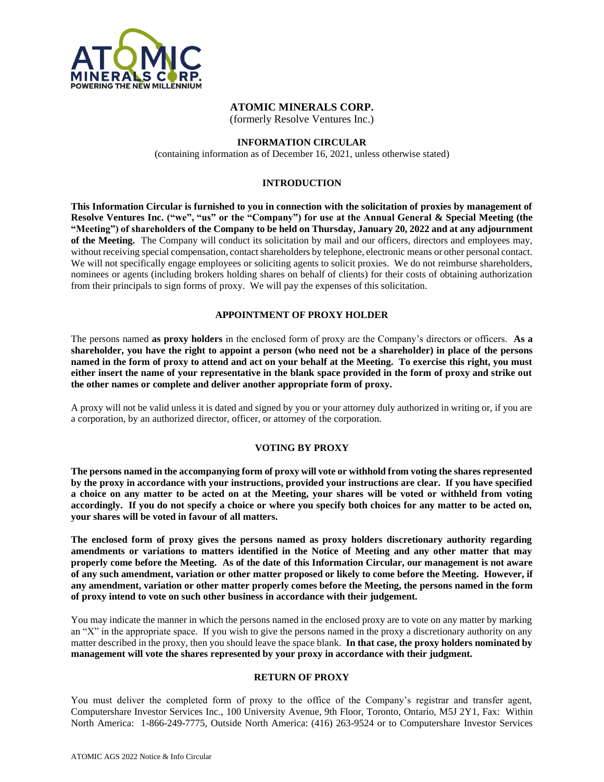

# **ATOMIC MINERALS CORP.**

(formerly Resolve Ventures Inc.)

# **INFORMATION CIRCULAR**

(containing information as of December 16, 2021, unless otherwise stated)

# **INTRODUCTION**

**This Information Circular is furnished to you in connection with the solicitation of proxies by management of Resolve Ventures Inc. ("we", "us" or the "Company") for use at the Annual General & Special Meeting (the "Meeting") of shareholders of the Company to be held on Thursday, January 20, 2022 and at any adjournment of the Meeting.** The Company will conduct its solicitation by mail and our officers, directors and employees may, without receiving special compensation, contact shareholders by telephone, electronic means or other personal contact. We will not specifically engage employees or soliciting agents to solicit proxies. We do not reimburse shareholders, nominees or agents (including brokers holding shares on behalf of clients) for their costs of obtaining authorization from their principals to sign forms of proxy. We will pay the expenses of this solicitation.

# **APPOINTMENT OF PROXY HOLDER**

The persons named **as proxy holders** in the enclosed form of proxy are the Company's directors or officers. **As a shareholder, you have the right to appoint a person (who need not be a shareholder) in place of the persons named in the form of proxy to attend and act on your behalf at the Meeting. To exercise this right, you must either insert the name of your representative in the blank space provided in the form of proxy and strike out the other names or complete and deliver another appropriate form of proxy.**

A proxy will not be valid unless it is dated and signed by you or your attorney duly authorized in writing or, if you are a corporation, by an authorized director, officer, or attorney of the corporation.

# **VOTING BY PROXY**

**The persons named in the accompanying form of proxy will vote or withhold from voting the shares represented by the proxy in accordance with your instructions, provided your instructions are clear. If you have specified a choice on any matter to be acted on at the Meeting, your shares will be voted or withheld from voting accordingly. If you do not specify a choice or where you specify both choices for any matter to be acted on, your shares will be voted in favour of all matters.**

**The enclosed form of proxy gives the persons named as proxy holders discretionary authority regarding amendments or variations to matters identified in the Notice of Meeting and any other matter that may properly come before the Meeting. As of the date of this Information Circular, our management is not aware of any such amendment, variation or other matter proposed or likely to come before the Meeting. However, if any amendment, variation or other matter properly comes before the Meeting, the persons named in the form of proxy intend to vote on such other business in accordance with their judgement.**

You may indicate the manner in which the persons named in the enclosed proxy are to vote on any matter by marking an "X" in the appropriate space. If you wish to give the persons named in the proxy a discretionary authority on any matter described in the proxy, then you should leave the space blank. **In that case, the proxy holders nominated by management will vote the shares represented by your proxy in accordance with their judgment.**

# **RETURN OF PROXY**

You must deliver the completed form of proxy to the office of the Company's registrar and transfer agent, Computershare Investor Services Inc., 100 University Avenue, 9th Floor, Toronto, Ontario, M5J 2Y1, Fax: Within North America: 1-866-249-7775, Outside North America: (416) 263-9524 or to Computershare Investor Services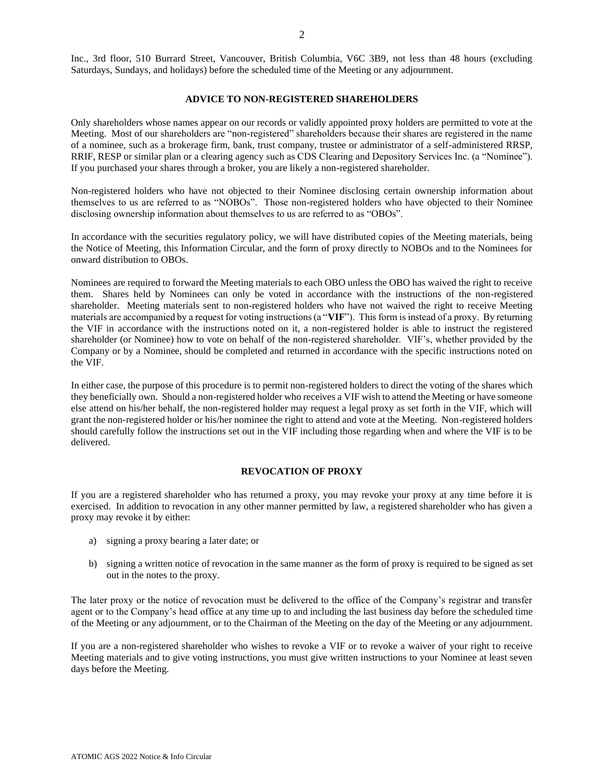Inc., 3rd floor, 510 Burrard Street, Vancouver, British Columbia, V6C 3B9, not less than 48 hours (excluding Saturdays, Sundays, and holidays) before the scheduled time of the Meeting or any adjournment.

#### **ADVICE TO NON-REGISTERED SHAREHOLDERS**

Only shareholders whose names appear on our records or validly appointed proxy holders are permitted to vote at the Meeting. Most of our shareholders are "non-registered" shareholders because their shares are registered in the name of a nominee, such as a brokerage firm, bank, trust company, trustee or administrator of a self-administered RRSP, RRIF, RESP or similar plan or a clearing agency such as CDS Clearing and Depository Services Inc. (a "Nominee"). If you purchased your shares through a broker, you are likely a non-registered shareholder.

Non-registered holders who have not objected to their Nominee disclosing certain ownership information about themselves to us are referred to as "NOBOs". Those non-registered holders who have objected to their Nominee disclosing ownership information about themselves to us are referred to as "OBOs".

In accordance with the securities regulatory policy, we will have distributed copies of the Meeting materials, being the Notice of Meeting, this Information Circular, and the form of proxy directly to NOBOs and to the Nominees for onward distribution to OBOs.

Nominees are required to forward the Meeting materials to each OBO unless the OBO has waived the right to receive them. Shares held by Nominees can only be voted in accordance with the instructions of the non-registered shareholder. Meeting materials sent to non-registered holders who have not waived the right to receive Meeting materials are accompanied by a request for voting instructions (a "**VIF**"). This form is instead of a proxy. By returning the VIF in accordance with the instructions noted on it, a non-registered holder is able to instruct the registered shareholder (or Nominee) how to vote on behalf of the non-registered shareholder. VIF's, whether provided by the Company or by a Nominee, should be completed and returned in accordance with the specific instructions noted on the VIF.

In either case, the purpose of this procedure is to permit non-registered holders to direct the voting of the shares which they beneficially own. Should a non-registered holder who receives a VIF wish to attend the Meeting or have someone else attend on his/her behalf, the non-registered holder may request a legal proxy as set forth in the VIF, which will grant the non-registered holder or his/her nominee the right to attend and vote at the Meeting. Non-registered holders should carefully follow the instructions set out in the VIF including those regarding when and where the VIF is to be delivered.

#### **REVOCATION OF PROXY**

If you are a registered shareholder who has returned a proxy, you may revoke your proxy at any time before it is exercised. In addition to revocation in any other manner permitted by law, a registered shareholder who has given a proxy may revoke it by either:

- a) signing a proxy bearing a later date; or
- b) signing a written notice of revocation in the same manner as the form of proxy is required to be signed as set out in the notes to the proxy.

The later proxy or the notice of revocation must be delivered to the office of the Company's registrar and transfer agent or to the Company's head office at any time up to and including the last business day before the scheduled time of the Meeting or any adjournment, or to the Chairman of the Meeting on the day of the Meeting or any adjournment.

If you are a non-registered shareholder who wishes to revoke a VIF or to revoke a waiver of your right to receive Meeting materials and to give voting instructions, you must give written instructions to your Nominee at least seven days before the Meeting.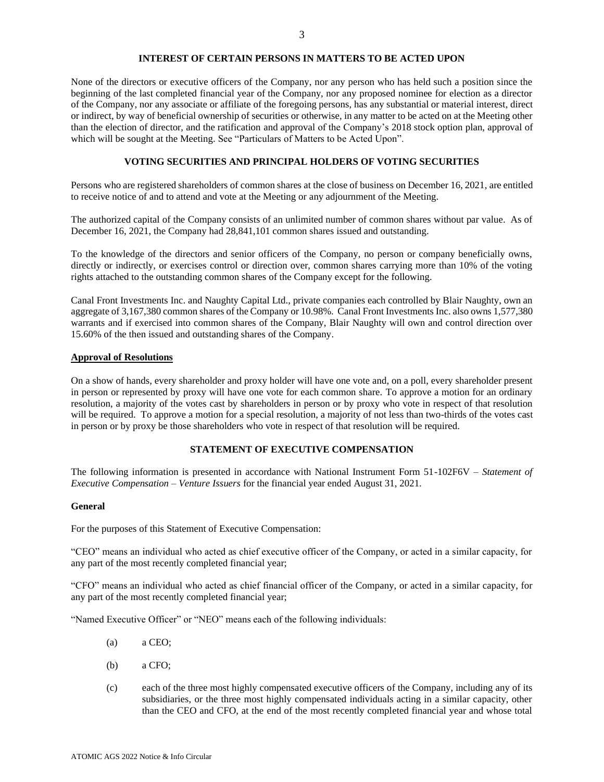# **INTEREST OF CERTAIN PERSONS IN MATTERS TO BE ACTED UPON**

None of the directors or executive officers of the Company, nor any person who has held such a position since the beginning of the last completed financial year of the Company, nor any proposed nominee for election as a director of the Company, nor any associate or affiliate of the foregoing persons, has any substantial or material interest, direct or indirect, by way of beneficial ownership of securities or otherwise, in any matter to be acted on at the Meeting other than the election of director, and the ratification and approval of the Company's 2018 stock option plan, approval of which will be sought at the Meeting. See "Particulars of Matters to be Acted Upon".

# **VOTING SECURITIES AND PRINCIPAL HOLDERS OF VOTING SECURITIES**

Persons who are registered shareholders of common shares at the close of business on December 16, 2021, are entitled to receive notice of and to attend and vote at the Meeting or any adjournment of the Meeting.

The authorized capital of the Company consists of an unlimited number of common shares without par value. As of December 16, 2021, the Company had 28,841,101 common shares issued and outstanding.

To the knowledge of the directors and senior officers of the Company, no person or company beneficially owns, directly or indirectly, or exercises control or direction over, common shares carrying more than 10% of the voting rights attached to the outstanding common shares of the Company except for the following.

Canal Front Investments Inc. and Naughty Capital Ltd., private companies each controlled by Blair Naughty, own an aggregate of 3,167,380 common shares of the Company or 10.98%. Canal Front Investments Inc. also owns 1,577,380 warrants and if exercised into common shares of the Company, Blair Naughty will own and control direction over 15.60% of the then issued and outstanding shares of the Company.

# **Approval of Resolutions**

On a show of hands, every shareholder and proxy holder will have one vote and, on a poll, every shareholder present in person or represented by proxy will have one vote for each common share. To approve a motion for an ordinary resolution, a majority of the votes cast by shareholders in person or by proxy who vote in respect of that resolution will be required. To approve a motion for a special resolution, a majority of not less than two-thirds of the votes cast in person or by proxy be those shareholders who vote in respect of that resolution will be required.

# **STATEMENT OF EXECUTIVE COMPENSATION**

The following information is presented in accordance with National Instrument Form 51-102F6V – *Statement of Executive Compensation – Venture Issuers* for the financial year ended August 31, 2021.

# **General**

For the purposes of this Statement of Executive Compensation:

"CEO" means an individual who acted as chief executive officer of the Company, or acted in a similar capacity, for any part of the most recently completed financial year;

"CFO" means an individual who acted as chief financial officer of the Company, or acted in a similar capacity, for any part of the most recently completed financial year;

"Named Executive Officer" or "NEO" means each of the following individuals:

- (a) a CEO;
- (b) a CFO;
- (c) each of the three most highly compensated executive officers of the Company, including any of its subsidiaries, or the three most highly compensated individuals acting in a similar capacity, other than the CEO and CFO, at the end of the most recently completed financial year and whose total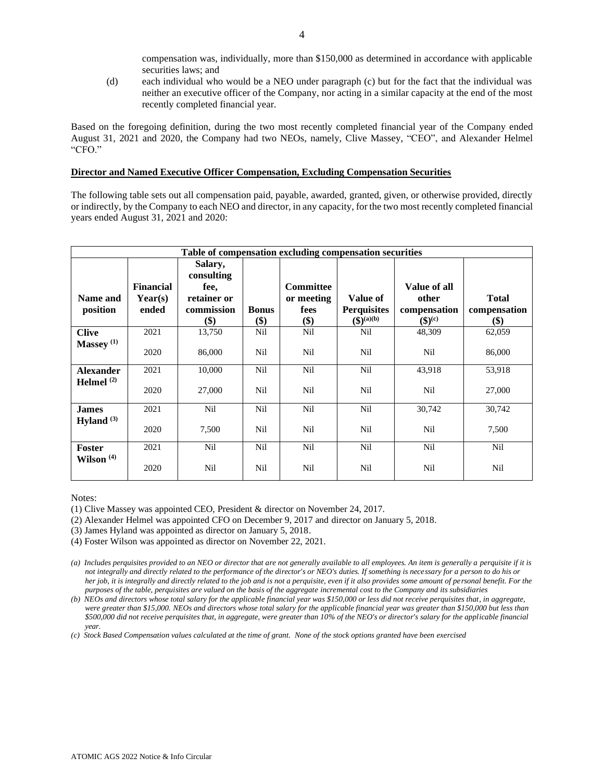compensation was, individually, more than \$150,000 as determined in accordance with applicable securities laws; and

(d) each individual who would be a NEO under paragraph (c) but for the fact that the individual was neither an executive officer of the Company, nor acting in a similar capacity at the end of the most recently completed financial year.

Based on the foregoing definition, during the two most recently completed financial year of the Company ended August 31, 2021 and 2020, the Company had two NEOs, namely, Clive Massey, "CEO", and Alexander Helmel "CFO."

#### **Director and Named Executive Officer Compensation, Excluding Compensation Securities**

The following table sets out all compensation paid, payable, awarded, granted, given, or otherwise provided, directly or indirectly, by the Company to each NEO and director, in any capacity, for the two most recently completed financial years ended August 31, 2021 and 2020:

| Table of compensation excluding compensation securities |                                      |                                                                   |                     |                                               |                                                        |                                                            |                                     |
|---------------------------------------------------------|--------------------------------------|-------------------------------------------------------------------|---------------------|-----------------------------------------------|--------------------------------------------------------|------------------------------------------------------------|-------------------------------------|
| Name and<br>position                                    | <b>Financial</b><br>Year(s)<br>ended | Salary,<br>consulting<br>fee,<br>retainer or<br>commission<br>\$) | <b>Bonus</b><br>\$) | <b>Committee</b><br>or meeting<br>fees<br>\$) | Value of<br><b>Perquisites</b><br>$({\bf S})^{(a)(b)}$ | Value of all<br>other<br>compensation<br>$({\bf 3})^{(c)}$ | <b>Total</b><br>compensation<br>\$) |
| <b>Clive</b>                                            | 2021                                 | 13,750                                                            | Nil                 | Nil                                           | Nil                                                    | 48,309                                                     | 62,059                              |
| Massey <sup>(1)</sup>                                   | 2020                                 | 86,000                                                            | Nil                 | Nil                                           | Nil                                                    | Nil                                                        | 86,000                              |
| <b>Alexander</b>                                        | 2021                                 | 10,000                                                            | Nil                 | Nil                                           | Nil                                                    | 43,918                                                     | 53,918                              |
| Helmel <sup>(2)</sup>                                   | 2020                                 | 27,000                                                            | Nil                 | Nil                                           | Nil                                                    | Nil                                                        | 27,000                              |
| <b>James</b>                                            | 2021                                 | Nil                                                               | Nil                 | Nil                                           | Nil                                                    | 30,742                                                     | 30,742                              |
| Hyland $(3)$                                            | 2020                                 | 7,500                                                             | Nil                 | Nil                                           | Nil                                                    | Nil                                                        | 7,500                               |
| <b>Foster</b>                                           | 2021                                 | Nil                                                               | Nil                 | Nil                                           | Nil                                                    | Nil                                                        | Nil                                 |
| Wilson <sup>(4)</sup>                                   | 2020                                 | Nil                                                               | Nil                 | Nil                                           | Nil                                                    | Nil                                                        | Nil                                 |

Notes:

- (2) Alexander Helmel was appointed CFO on December 9, 2017 and director on January 5, 2018.
- (3) James Hyland was appointed as director on January 5, 2018.
- (4) Foster Wilson was appointed as director on November 22, 2021.

*(c) Stock Based Compensation values calculated at the time of grant. None of the stock options granted have been exercised*

<sup>(1)</sup> Clive Massey was appointed CEO, President & director on November 24, 2017.

*<sup>(</sup>a) Includes perquisites provided to an NEO or director that are not generally available to all employees. An item is generally a perquisite if it is not integrally and directly related to the performance of the director's or NEO's duties. If something is necessary for a person to do his or her job, it is integrally and directly related to the job and is not a perquisite, even if it also provides some amount of personal benefit. For the purposes of the table, perquisites are valued on the basis of the aggregate incremental cost to the Company and its subsidiaries*

*<sup>(</sup>b) NEOs and directors whose total salary for the applicable financial year was \$150,000 or less did not receive perquisites that, in aggregate, were greater than \$15,000. NEOs and directors whose total salary for the applicable financial year was greater than \$150,000 but less than \$500,000 did not receive perquisites that, in aggregate, were greater than 10% of the NEO's or director's salary for the applicable financial year.*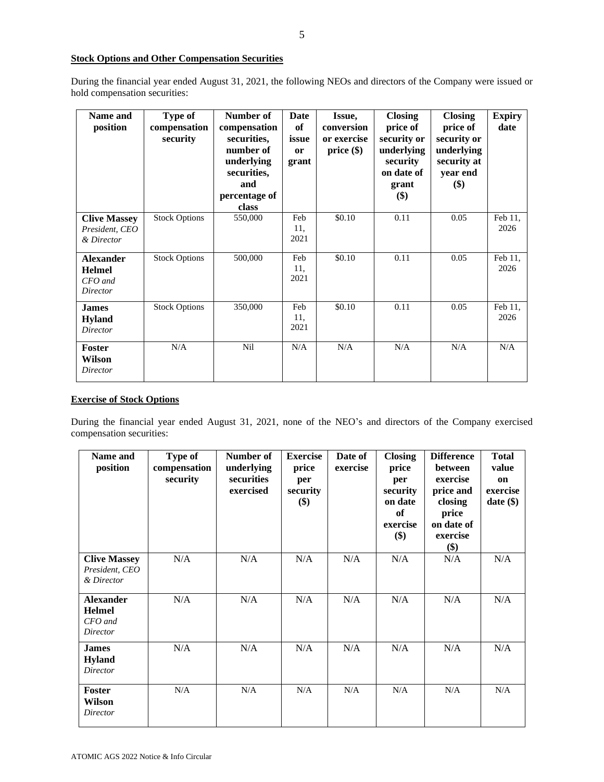# **Stock Options and Other Compensation Securities**

During the financial year ended August 31, 2021, the following NEOs and directors of the Company were issued or hold compensation securities:

| Name and<br>position                                     | <b>Type of</b><br>compensation<br>security | Number of<br>compensation<br>securities,<br>number of<br>underlying<br>securities,<br>and<br>percentage of<br>class | Date<br>of<br>issue<br><sub>or</sub><br>grant | Issue,<br>conversion<br>or exercise<br>$price(\$))$ | <b>Closing</b><br>price of<br>security or<br>underlying<br>security<br>on date of<br>grant<br>\$) | <b>Closing</b><br>price of<br>security or<br>underlying<br>security at<br>year end<br>\$) | <b>Expiry</b><br>date |
|----------------------------------------------------------|--------------------------------------------|---------------------------------------------------------------------------------------------------------------------|-----------------------------------------------|-----------------------------------------------------|---------------------------------------------------------------------------------------------------|-------------------------------------------------------------------------------------------|-----------------------|
| <b>Clive Massey</b><br>President, CEO<br>& Director      | <b>Stock Options</b>                       | 550,000                                                                                                             | Feb<br>11,<br>2021                            | \$0.10                                              | 0.11                                                                                              | 0.05                                                                                      | Feb 11,<br>2026       |
| <b>Alexander</b><br><b>Helmel</b><br>CFO and<br>Director | <b>Stock Options</b>                       | 500,000                                                                                                             | Feb<br>11,<br>2021                            | \$0.10                                              | 0.11                                                                                              | 0.05                                                                                      | Feb 11,<br>2026       |
| <b>James</b><br><b>Hyland</b><br>Director                | <b>Stock Options</b>                       | 350,000                                                                                                             | Feb<br>11,<br>2021                            | \$0.10                                              | 0.11                                                                                              | 0.05                                                                                      | Feb 11,<br>2026       |
| <b>Foster</b><br>Wilson<br>Director                      | N/A                                        | Nil                                                                                                                 | N/A                                           | N/A                                                 | N/A                                                                                               | N/A                                                                                       | N/A                   |

# **Exercise of Stock Options**

During the financial year ended August 31, 2021, none of the NEO's and directors of the Company exercised compensation securities:

| Name and<br>position                                       | Type of<br>compensation<br>security | Number of<br>underlying<br>securities<br>exercised | <b>Exercise</b><br>price<br>per<br>security<br>\$) | Date of<br>exercise | <b>Closing</b><br>price<br>per<br>security<br>on date<br>of<br>exercise<br>\$) | <b>Difference</b><br>between<br>exercise<br>price and<br>closing<br>price<br>on date of<br>exercise<br>\$) | <b>Total</b><br>value<br>on<br>exercise<br>date(\$) |
|------------------------------------------------------------|-------------------------------------|----------------------------------------------------|----------------------------------------------------|---------------------|--------------------------------------------------------------------------------|------------------------------------------------------------------------------------------------------------|-----------------------------------------------------|
| <b>Clive Massey</b><br>President, CEO<br>& Director        | N/A                                 | N/A                                                | N/A                                                | N/A                 | N/A                                                                            | N/A                                                                                                        | N/A                                                 |
| <b>Alexander</b><br><b>Helmel</b><br>$CFO$ and<br>Director | N/A                                 | N/A                                                | N/A                                                | N/A                 | N/A                                                                            | N/A                                                                                                        | N/A                                                 |
| <b>James</b><br><b>Hyland</b><br>Director                  | N/A                                 | N/A                                                | N/A                                                | N/A                 | N/A                                                                            | N/A                                                                                                        | N/A                                                 |
| <b>Foster</b><br>Wilson<br>Director                        | N/A                                 | N/A                                                | N/A                                                | N/A                 | N/A                                                                            | N/A                                                                                                        | N/A                                                 |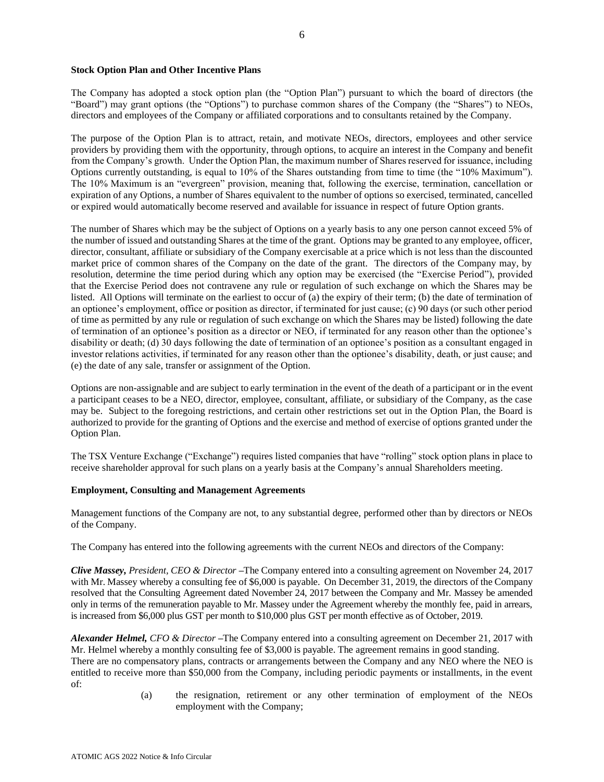# **Stock Option Plan and Other Incentive Plans**

The Company has adopted a stock option plan (the "Option Plan") pursuant to which the board of directors (the "Board") may grant options (the "Options") to purchase common shares of the Company (the "Shares") to NEOs, directors and employees of the Company or affiliated corporations and to consultants retained by the Company.

The purpose of the Option Plan is to attract, retain, and motivate NEOs, directors, employees and other service providers by providing them with the opportunity, through options, to acquire an interest in the Company and benefit from the Company's growth. Under the Option Plan, the maximum number of Shares reserved for issuance, including Options currently outstanding, is equal to 10% of the Shares outstanding from time to time (the "10% Maximum"). The 10% Maximum is an "evergreen" provision, meaning that, following the exercise, termination, cancellation or expiration of any Options, a number of Shares equivalent to the number of options so exercised, terminated, cancelled or expired would automatically become reserved and available for issuance in respect of future Option grants.

The number of Shares which may be the subject of Options on a yearly basis to any one person cannot exceed 5% of the number of issued and outstanding Shares at the time of the grant. Options may be granted to any employee, officer, director, consultant, affiliate or subsidiary of the Company exercisable at a price which is not less than the discounted market price of common shares of the Company on the date of the grant. The directors of the Company may, by resolution, determine the time period during which any option may be exercised (the "Exercise Period"), provided that the Exercise Period does not contravene any rule or regulation of such exchange on which the Shares may be listed. All Options will terminate on the earliest to occur of (a) the expiry of their term; (b) the date of termination of an optionee's employment, office or position as director, if terminated for just cause; (c) 90 days (or such other period of time as permitted by any rule or regulation of such exchange on which the Shares may be listed) following the date of termination of an optionee's position as a director or NEO, if terminated for any reason other than the optionee's disability or death; (d) 30 days following the date of termination of an optionee's position as a consultant engaged in investor relations activities, if terminated for any reason other than the optionee's disability, death, or just cause; and (e) the date of any sale, transfer or assignment of the Option.

Options are non-assignable and are subject to early termination in the event of the death of a participant or in the event a participant ceases to be a NEO, director, employee, consultant, affiliate, or subsidiary of the Company, as the case may be. Subject to the foregoing restrictions, and certain other restrictions set out in the Option Plan, the Board is authorized to provide for the granting of Options and the exercise and method of exercise of options granted under the Option Plan.

The TSX Venture Exchange ("Exchange") requires listed companies that have "rolling" stock option plans in place to receive shareholder approval for such plans on a yearly basis at the Company's annual Shareholders meeting.

### **Employment, Consulting and Management Agreements**

Management functions of the Company are not, to any substantial degree, performed other than by directors or NEOs of the Company.

The Company has entered into the following agreements with the current NEOs and directors of the Company:

*Clive Massey, President, CEO & Director –*The Company entered into a consulting agreement on November 24, 2017 with Mr. Massey whereby a consulting fee of \$6,000 is payable. On December 31, 2019, the directors of the Company resolved that the Consulting Agreement dated November 24, 2017 between the Company and Mr. Massey be amended only in terms of the remuneration payable to Mr. Massey under the Agreement whereby the monthly fee, paid in arrears, is increased from \$6,000 plus GST per month to \$10,000 plus GST per month effective as of October, 2019.

*Alexander Helmel, CFO & Director –*The Company entered into a consulting agreement on December 21, 2017 with Mr. Helmel whereby a monthly consulting fee of \$3,000 is payable. The agreement remains in good standing. There are no compensatory plans, contracts or arrangements between the Company and any NEO where the NEO is entitled to receive more than \$50,000 from the Company, including periodic payments or installments, in the event of:

(a) the resignation, retirement or any other termination of employment of the NEOs employment with the Company;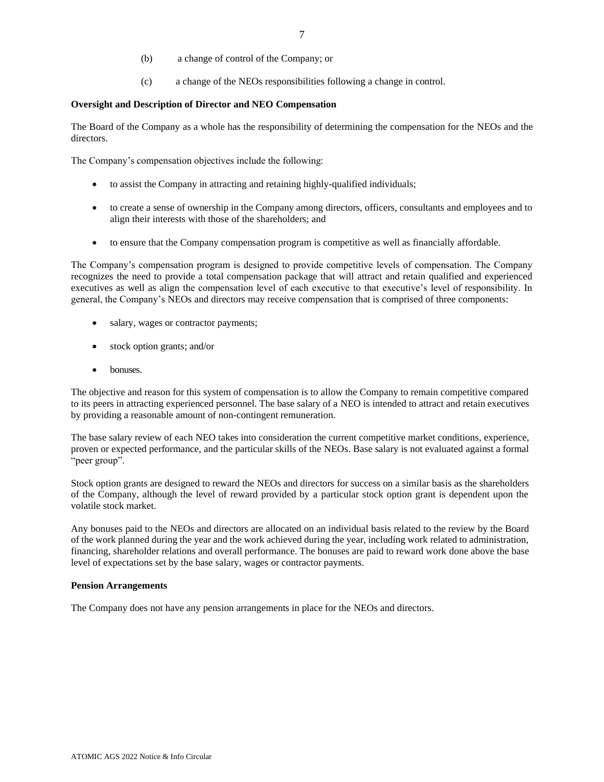- (b) a change of control of the Company; or
- (c) a change of the NEOs responsibilities following a change in control.

### **Oversight and Description of Director and NEO Compensation**

The Board of the Company as a whole has the responsibility of determining the compensation for the NEOs and the directors.

The Company's compensation objectives include the following:

- to assist the Company in attracting and retaining highly-qualified individuals;
- to create a sense of ownership in the Company among directors, officers, consultants and employees and to align their interests with those of the shareholders; and
- to ensure that the Company compensation program is competitive as well as financially affordable.

The Company's compensation program is designed to provide competitive levels of compensation. The Company recognizes the need to provide a total compensation package that will attract and retain qualified and experienced executives as well as align the compensation level of each executive to that executive's level of responsibility. In general, the Company's NEOs and directors may receive compensation that is comprised of three components:

- salary, wages or contractor payments;
- stock option grants; and/or
- bonuses

The objective and reason for this system of compensation is to allow the Company to remain competitive compared to its peers in attracting experienced personnel. The base salary of a NEO is intended to attract and retain executives by providing a reasonable amount of non-contingent remuneration.

The base salary review of each NEO takes into consideration the current competitive market conditions, experience, proven or expected performance, and the particular skills of the NEOs. Base salary is not evaluated against a formal "peer group".

Stock option grants are designed to reward the NEOs and directors for success on a similar basis as the shareholders of the Company, although the level of reward provided by a particular stock option grant is dependent upon the volatile stock market.

Any bonuses paid to the NEOs and directors are allocated on an individual basis related to the review by the Board of the work planned during the year and the work achieved during the year, including work related to administration, financing, shareholder relations and overall performance. The bonuses are paid to reward work done above the base level of expectations set by the base salary, wages or contractor payments.

# **Pension Arrangements**

The Company does not have any pension arrangements in place for the NEOs and directors.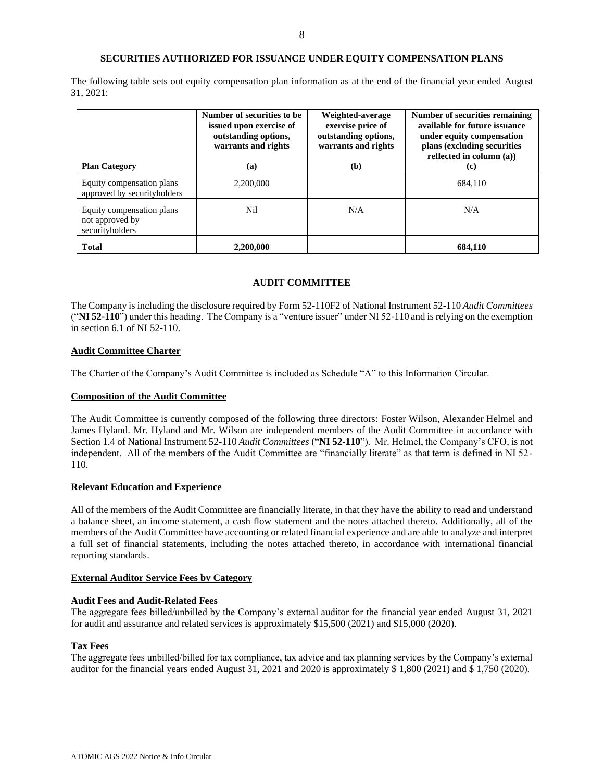# **SECURITIES AUTHORIZED FOR ISSUANCE UNDER EQUITY COMPENSATION PLANS**

The following table sets out equity compensation plan information as at the end of the financial year ended August 31, 2021:

| <b>Plan Category</b>                                            | Number of securities to be<br>issued upon exercise of<br>outstanding options,<br>warrants and rights<br>(a) | Weighted-average<br>exercise price of<br>outstanding options,<br>warrants and rights<br>(b) | Number of securities remaining<br>available for future issuance<br>under equity compensation<br>plans (excluding securities<br>reflected in column $(a)$ )<br>(c) |  |
|-----------------------------------------------------------------|-------------------------------------------------------------------------------------------------------------|---------------------------------------------------------------------------------------------|-------------------------------------------------------------------------------------------------------------------------------------------------------------------|--|
| Equity compensation plans<br>approved by securityholders        | 2.200,000                                                                                                   |                                                                                             | 684.110                                                                                                                                                           |  |
| Equity compensation plans<br>not approved by<br>securityholders | Nil                                                                                                         | N/A                                                                                         | N/A                                                                                                                                                               |  |
| <b>Total</b>                                                    | 2,200,000                                                                                                   |                                                                                             | 684,110                                                                                                                                                           |  |

# **AUDIT COMMITTEE**

The Company is including the disclosure required by Form 52-110F2 of National Instrument 52-110 *Audit Committees*  ("**NI 52-110**") under this heading. The Company is a "venture issuer" under NI 52-110 and is relying on the exemption in section 6.1 of NI 52-110.

# **Audit Committee Charter**

The Charter of the Company's Audit Committee is included as Schedule "A" to this Information Circular.

### **Composition of the Audit Committee**

The Audit Committee is currently composed of the following three directors: Foster Wilson, Alexander Helmel and James Hyland. Mr. Hyland and Mr. Wilson are independent members of the Audit Committee in accordance with Section 1.4 of National Instrument 52-110 *Audit Committees* ("**NI 52-110**"). Mr. Helmel, the Company's CFO, is not independent. All of the members of the Audit Committee are "financially literate" as that term is defined in NI 52- 110.

# **Relevant Education and Experience**

All of the members of the Audit Committee are financially literate, in that they have the ability to read and understand a balance sheet, an income statement, a cash flow statement and the notes attached thereto. Additionally, all of the members of the Audit Committee have accounting or related financial experience and are able to analyze and interpret a full set of financial statements, including the notes attached thereto, in accordance with international financial reporting standards.

#### **External Auditor Service Fees by Category**

#### **Audit Fees and Audit-Related Fees**

The aggregate fees billed/unbilled by the Company's external auditor for the financial year ended August 31, 2021 for audit and assurance and related services is approximately \$15,500 (2021) and \$15,000 (2020).

#### **Tax Fees**

The aggregate fees unbilled/billed for tax compliance, tax advice and tax planning services by the Company's external auditor for the financial years ended August 31, 2021 and 2020 is approximately \$ 1,800 (2021) and \$ 1,750 (2020).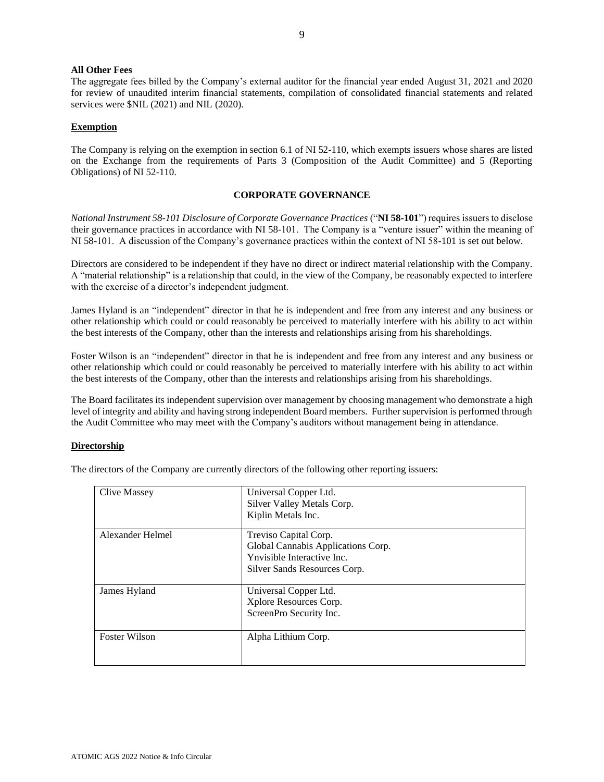# **All Other Fees**

The aggregate fees billed by the Company's external auditor for the financial year ended August 31, 2021 and 2020 for review of unaudited interim financial statements, compilation of consolidated financial statements and related services were \$NIL (2021) and NIL (2020).

# **Exemption**

The Company is relying on the exemption in section 6.1 of NI 52-110, which exempts issuers whose shares are listed on the Exchange from the requirements of Parts 3 (Composition of the Audit Committee) and 5 (Reporting Obligations) of NI 52-110.

# **CORPORATE GOVERNANCE**

*National Instrument 58-101 Disclosure of Corporate Governance Practices* ("**NI 58-101**") requires issuers to disclose their governance practices in accordance with NI 58-101. The Company is a "venture issuer" within the meaning of NI 58-101. A discussion of the Company's governance practices within the context of NI 58-101 is set out below.

Directors are considered to be independent if they have no direct or indirect material relationship with the Company. A "material relationship" is a relationship that could, in the view of the Company, be reasonably expected to interfere with the exercise of a director's independent judgment.

James Hyland is an "independent" director in that he is independent and free from any interest and any business or other relationship which could or could reasonably be perceived to materially interfere with his ability to act within the best interests of the Company, other than the interests and relationships arising from his shareholdings.

Foster Wilson is an "independent" director in that he is independent and free from any interest and any business or other relationship which could or could reasonably be perceived to materially interfere with his ability to act within the best interests of the Company, other than the interests and relationships arising from his shareholdings.

The Board facilitates its independent supervision over management by choosing management who demonstrate a high level of integrity and ability and having strong independent Board members. Further supervision is performed through the Audit Committee who may meet with the Company's auditors without management being in attendance.

# **Directorship**

The directors of the Company are currently directors of the following other reporting issuers:

| Clive Massey         | Universal Copper Ltd.<br>Silver Valley Metals Corp.<br>Kiplin Metals Inc.                                                 |
|----------------------|---------------------------------------------------------------------------------------------------------------------------|
| Alexander Helmel     | Treviso Capital Corp.<br>Global Cannabis Applications Corp.<br>Ynvisible Interactive Inc.<br>Silver Sands Resources Corp. |
| James Hyland         | Universal Copper Ltd.<br>Xplore Resources Corp.<br>ScreenPro Security Inc.                                                |
| <b>Foster Wilson</b> | Alpha Lithium Corp.                                                                                                       |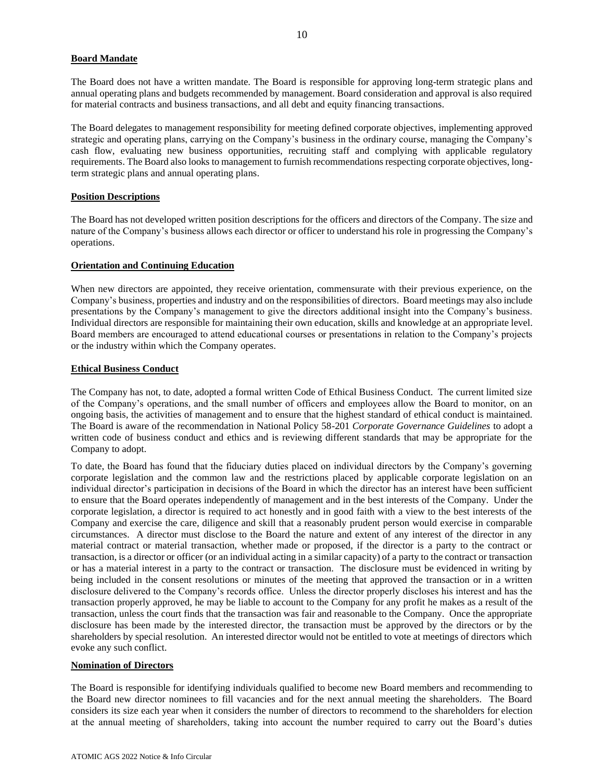# **Board Mandate**

The Board does not have a written mandate. The Board is responsible for approving long-term strategic plans and annual operating plans and budgets recommended by management. Board consideration and approval is also required for material contracts and business transactions, and all debt and equity financing transactions.

The Board delegates to management responsibility for meeting defined corporate objectives, implementing approved strategic and operating plans, carrying on the Company's business in the ordinary course, managing the Company's cash flow, evaluating new business opportunities, recruiting staff and complying with applicable regulatory requirements. The Board also looks to management to furnish recommendations respecting corporate objectives, longterm strategic plans and annual operating plans.

# **Position Descriptions**

The Board has not developed written position descriptions for the officers and directors of the Company. The size and nature of the Company's business allows each director or officer to understand his role in progressing the Company's operations.

# **Orientation and Continuing Education**

When new directors are appointed, they receive orientation, commensurate with their previous experience, on the Company's business, properties and industry and on the responsibilities of directors. Board meetings may also include presentations by the Company's management to give the directors additional insight into the Company's business. Individual directors are responsible for maintaining their own education, skills and knowledge at an appropriate level. Board members are encouraged to attend educational courses or presentations in relation to the Company's projects or the industry within which the Company operates.

# **Ethical Business Conduct**

The Company has not, to date, adopted a formal written Code of Ethical Business Conduct. The current limited size of the Company's operations, and the small number of officers and employees allow the Board to monitor, on an ongoing basis, the activities of management and to ensure that the highest standard of ethical conduct is maintained. The Board is aware of the recommendation in National Policy 58-201 *Corporate Governance Guidelines* to adopt a written code of business conduct and ethics and is reviewing different standards that may be appropriate for the Company to adopt.

To date, the Board has found that the fiduciary duties placed on individual directors by the Company's governing corporate legislation and the common law and the restrictions placed by applicable corporate legislation on an individual director's participation in decisions of the Board in which the director has an interest have been sufficient to ensure that the Board operates independently of management and in the best interests of the Company. Under the corporate legislation, a director is required to act honestly and in good faith with a view to the best interests of the Company and exercise the care, diligence and skill that a reasonably prudent person would exercise in comparable circumstances. A director must disclose to the Board the nature and extent of any interest of the director in any material contract or material transaction, whether made or proposed, if the director is a party to the contract or transaction, is a director or officer (or an individual acting in a similar capacity) of a party to the contract or transaction or has a material interest in a party to the contract or transaction. The disclosure must be evidenced in writing by being included in the consent resolutions or minutes of the meeting that approved the transaction or in a written disclosure delivered to the Company's records office. Unless the director properly discloses his interest and has the transaction properly approved, he may be liable to account to the Company for any profit he makes as a result of the transaction, unless the court finds that the transaction was fair and reasonable to the Company. Once the appropriate disclosure has been made by the interested director, the transaction must be approved by the directors or by the shareholders by special resolution. An interested director would not be entitled to vote at meetings of directors which evoke any such conflict.

# **Nomination of Directors**

The Board is responsible for identifying individuals qualified to become new Board members and recommending to the Board new director nominees to fill vacancies and for the next annual meeting the shareholders. The Board considers its size each year when it considers the number of directors to recommend to the shareholders for election at the annual meeting of shareholders, taking into account the number required to carry out the Board's duties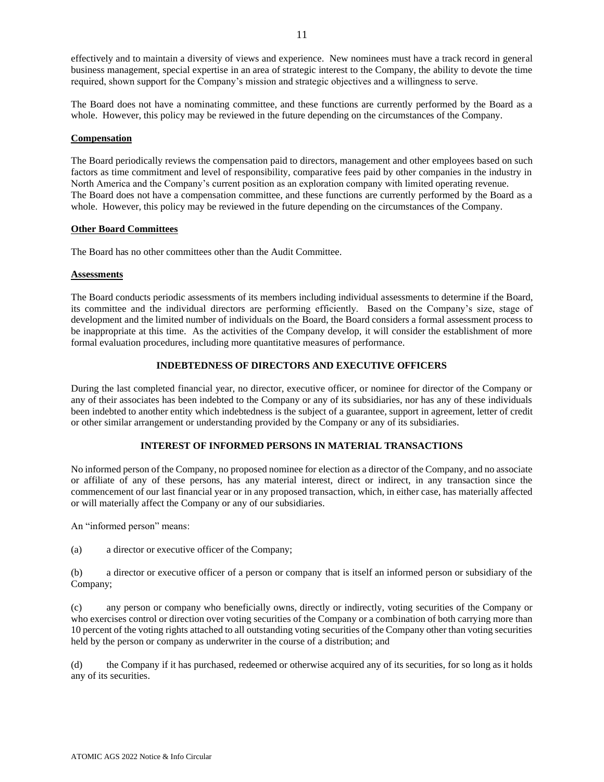effectively and to maintain a diversity of views and experience. New nominees must have a track record in general business management, special expertise in an area of strategic interest to the Company, the ability to devote the time required, shown support for the Company's mission and strategic objectives and a willingness to serve.

The Board does not have a nominating committee, and these functions are currently performed by the Board as a whole. However, this policy may be reviewed in the future depending on the circumstances of the Company.

### **Compensation**

The Board periodically reviews the compensation paid to directors, management and other employees based on such factors as time commitment and level of responsibility, comparative fees paid by other companies in the industry in North America and the Company's current position as an exploration company with limited operating revenue. The Board does not have a compensation committee, and these functions are currently performed by the Board as a whole. However, this policy may be reviewed in the future depending on the circumstances of the Company.

#### **Other Board Committees**

The Board has no other committees other than the Audit Committee.

#### **Assessments**

The Board conducts periodic assessments of its members including individual assessments to determine if the Board, its committee and the individual directors are performing efficiently. Based on the Company's size, stage of development and the limited number of individuals on the Board, the Board considers a formal assessment process to be inappropriate at this time. As the activities of the Company develop, it will consider the establishment of more formal evaluation procedures, including more quantitative measures of performance.

# **INDEBTEDNESS OF DIRECTORS AND EXECUTIVE OFFICERS**

During the last completed financial year, no director, executive officer, or nominee for director of the Company or any of their associates has been indebted to the Company or any of its subsidiaries, nor has any of these individuals been indebted to another entity which indebtedness is the subject of a guarantee, support in agreement, letter of credit or other similar arrangement or understanding provided by the Company or any of its subsidiaries.

# **INTEREST OF INFORMED PERSONS IN MATERIAL TRANSACTIONS**

No informed person of the Company, no proposed nominee for election as a director of the Company, and no associate or affiliate of any of these persons, has any material interest, direct or indirect, in any transaction since the commencement of our last financial year or in any proposed transaction, which, in either case, has materially affected or will materially affect the Company or any of our subsidiaries.

An "informed person" means:

(a) a director or executive officer of the Company;

(b) a director or executive officer of a person or company that is itself an informed person or subsidiary of the Company;

(c) any person or company who beneficially owns, directly or indirectly, voting securities of the Company or who exercises control or direction over voting securities of the Company or a combination of both carrying more than 10 percent of the voting rights attached to all outstanding voting securities of the Company other than voting securities held by the person or company as underwriter in the course of a distribution; and

(d) the Company if it has purchased, redeemed or otherwise acquired any of its securities, for so long as it holds any of its securities.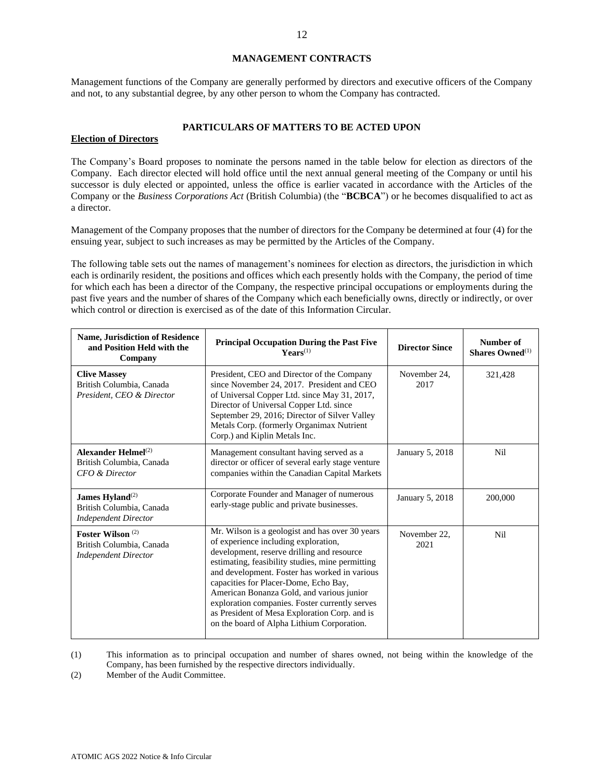# **MANAGEMENT CONTRACTS**

Management functions of the Company are generally performed by directors and executive officers of the Company and not, to any substantial degree, by any other person to whom the Company has contracted.

# **PARTICULARS OF MATTERS TO BE ACTED UPON**

#### **Election of Directors**

The Company's Board proposes to nominate the persons named in the table below for election as directors of the Company. Each director elected will hold office until the next annual general meeting of the Company or until his successor is duly elected or appointed, unless the office is earlier vacated in accordance with the Articles of the Company or the *Business Corporations Act* (British Columbia) (the "**BCBCA**") or he becomes disqualified to act as a director.

Management of the Company proposes that the number of directors for the Company be determined at four (4) for the ensuing year, subject to such increases as may be permitted by the Articles of the Company.

The following table sets out the names of management's nominees for election as directors, the jurisdiction in which each is ordinarily resident, the positions and offices which each presently holds with the Company, the period of time for which each has been a director of the Company, the respective principal occupations or employments during the past five years and the number of shares of the Company which each beneficially owns, directly or indirectly, or over which control or direction is exercised as of the date of this Information Circular.

| <b>Name, Jurisdiction of Residence</b><br>and Position Held with the<br>Company        | <b>Principal Occupation During the Past Five</b><br>$\textbf{YearS}^{(1)}$                                                                                                                                                                                                                                                                                                                                                                                                        | <b>Director Since</b> | Number of<br>Shares Owned $^{(1)}$ |
|----------------------------------------------------------------------------------------|-----------------------------------------------------------------------------------------------------------------------------------------------------------------------------------------------------------------------------------------------------------------------------------------------------------------------------------------------------------------------------------------------------------------------------------------------------------------------------------|-----------------------|------------------------------------|
| <b>Clive Massey</b><br>British Columbia, Canada<br>President, CEO & Director           | President, CEO and Director of the Company<br>since November 24, 2017. President and CEO<br>of Universal Copper Ltd. since May 31, 2017,<br>Director of Universal Copper Ltd. since<br>September 29, 2016; Director of Silver Valley<br>Metals Corp. (formerly Organimax Nutrient<br>Corp.) and Kiplin Metals Inc.                                                                                                                                                                | November 24,<br>2017  | 321,428                            |
| Alexander Helmel $^{(2)}$<br>British Columbia, Canada<br>CFO & Director                | Management consultant having served as a<br>director or officer of several early stage venture<br>companies within the Canadian Capital Markets                                                                                                                                                                                                                                                                                                                                   | January 5, 2018       | Nil                                |
| James Hyland <sup>(2)</sup><br>British Columbia, Canada<br><b>Independent Director</b> | Corporate Founder and Manager of numerous<br>early-stage public and private businesses.                                                                                                                                                                                                                                                                                                                                                                                           | January 5, 2018       | 200,000                            |
| Foster Wilson $(2)$<br>British Columbia, Canada<br><b>Independent Director</b>         | Mr. Wilson is a geologist and has over 30 years<br>of experience including exploration,<br>development, reserve drilling and resource<br>estimating, feasibility studies, mine permitting<br>and development. Foster has worked in various<br>capacities for Placer-Dome, Echo Bay,<br>American Bonanza Gold, and various junior<br>exploration companies. Foster currently serves<br>as President of Mesa Exploration Corp. and is<br>on the board of Alpha Lithium Corporation. | November 22,<br>2021  | Nil                                |

(1) This information as to principal occupation and number of shares owned, not being within the knowledge of the Company, has been furnished by the respective directors individually.

(2) Member of the Audit Committee.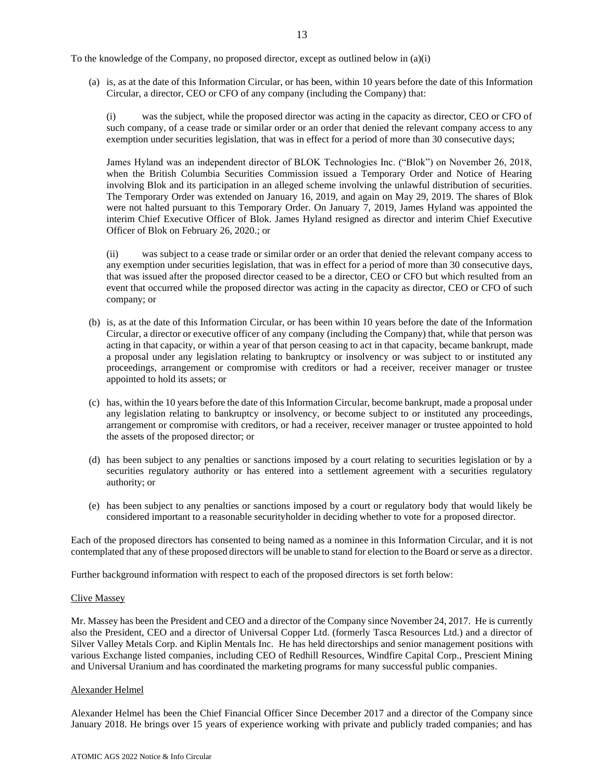To the knowledge of the Company, no proposed director, except as outlined below in (a)(i)

(a) is, as at the date of this Information Circular, or has been, within 10 years before the date of this Information Circular, a director, CEO or CFO of any company (including the Company) that:

(i) was the subject, while the proposed director was acting in the capacity as director, CEO or CFO of such company, of a cease trade or similar order or an order that denied the relevant company access to any exemption under securities legislation, that was in effect for a period of more than 30 consecutive days;

James Hyland was an independent director of BLOK Technologies Inc. ("Blok") on November 26, 2018, when the British Columbia Securities Commission issued a Temporary Order and Notice of Hearing involving Blok and its participation in an alleged scheme involving the unlawful distribution of securities. The Temporary Order was extended on January 16, 2019, and again on May 29, 2019. The shares of Blok were not halted pursuant to this Temporary Order. On January 7, 2019, James Hyland was appointed the interim Chief Executive Officer of Blok. James Hyland resigned as director and interim Chief Executive Officer of Blok on February 26, 2020.; or

(ii) was subject to a cease trade or similar order or an order that denied the relevant company access to any exemption under securities legislation, that was in effect for a period of more than 30 consecutive days, that was issued after the proposed director ceased to be a director, CEO or CFO but which resulted from an event that occurred while the proposed director was acting in the capacity as director, CEO or CFO of such company; or

- (b) is, as at the date of this Information Circular, or has been within 10 years before the date of the Information Circular, a director or executive officer of any company (including the Company) that, while that person was acting in that capacity, or within a year of that person ceasing to act in that capacity, became bankrupt, made a proposal under any legislation relating to bankruptcy or insolvency or was subject to or instituted any proceedings, arrangement or compromise with creditors or had a receiver, receiver manager or trustee appointed to hold its assets; or
- (c) has, within the 10 years before the date of this Information Circular, become bankrupt, made a proposal under any legislation relating to bankruptcy or insolvency, or become subject to or instituted any proceedings, arrangement or compromise with creditors, or had a receiver, receiver manager or trustee appointed to hold the assets of the proposed director; or
- (d) has been subject to any penalties or sanctions imposed by a court relating to securities legislation or by a securities regulatory authority or has entered into a settlement agreement with a securities regulatory authority; or
- (e) has been subject to any penalties or sanctions imposed by a court or regulatory body that would likely be considered important to a reasonable securityholder in deciding whether to vote for a proposed director.

Each of the proposed directors has consented to being named as a nominee in this Information Circular, and it is not contemplated that any of these proposed directors will be unable to stand for election to the Board or serve as a director.

Further background information with respect to each of the proposed directors is set forth below:

#### Clive Massey

Mr. Massey has been the President and CEO and a director of the Company since November 24, 2017. He is currently also the President, CEO and a director of Universal Copper Ltd. (formerly Tasca Resources Ltd.) and a director of Silver Valley Metals Corp. and Kiplin Mentals Inc. He has held directorships and senior management positions with various Exchange listed companies, including CEO of Redhill Resources, Windfire Capital Corp., Prescient Mining and Universal Uranium and has coordinated the marketing programs for many successful public companies.

# Alexander Helmel

Alexander Helmel has been the Chief Financial Officer Since December 2017 and a director of the Company since January 2018. He brings over 15 years of experience working with private and publicly traded companies; and has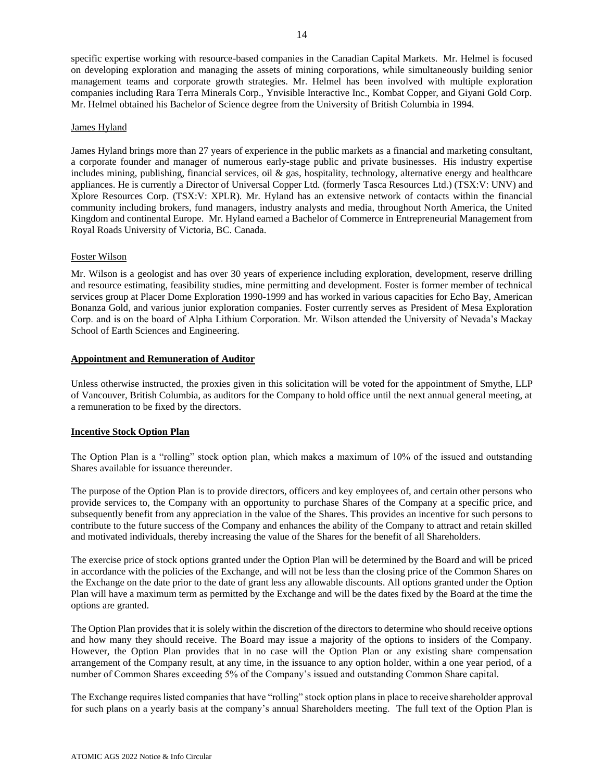specific expertise working with resource-based companies in the Canadian Capital Markets. Mr. Helmel is focused on developing exploration and managing the assets of mining corporations, while simultaneously building senior management teams and corporate growth strategies. Mr. Helmel has been involved with multiple exploration companies including Rara Terra Minerals Corp., Ynvisible Interactive Inc., Kombat Copper, and Giyani Gold Corp. Mr. Helmel obtained his Bachelor of Science degree from the University of British Columbia in 1994.

# James Hyland

James Hyland brings more than 27 years of experience in the public markets as a financial and marketing consultant, a corporate founder and manager of numerous early-stage public and private businesses. His industry expertise includes mining, publishing, financial services, oil  $\&$  gas, hospitality, technology, alternative energy and healthcare appliances. He is currently a Director of Universal Copper Ltd. (formerly Tasca Resources Ltd.) (TSX:V: UNV) and Xplore Resources Corp. (TSX:V: XPLR). Mr. Hyland has an extensive network of contacts within the financial community including brokers, fund managers, industry analysts and media, throughout North America, the United Kingdom and continental Europe. Mr. Hyland earned a Bachelor of Commerce in Entrepreneurial Management from Royal Roads University of Victoria, BC. Canada.

# Foster Wilson

Mr. Wilson is a geologist and has over 30 years of experience including exploration, development, reserve drilling and resource estimating, feasibility studies, mine permitting and development. Foster is former member of technical services group at Placer Dome Exploration 1990-1999 and has worked in various capacities for Echo Bay, American Bonanza Gold, and various junior exploration companies. Foster currently serves as President of Mesa Exploration Corp. and is on the board of Alpha Lithium Corporation. Mr. Wilson attended the University of Nevada's Mackay School of Earth Sciences and Engineering.

# **Appointment and Remuneration of Auditor**

Unless otherwise instructed, the proxies given in this solicitation will be voted for the appointment of Smythe, LLP of Vancouver, British Columbia, as auditors for the Company to hold office until the next annual general meeting, at a remuneration to be fixed by the directors.

# **Incentive Stock Option Plan**

The Option Plan is a "rolling" stock option plan, which makes a maximum of 10% of the issued and outstanding Shares available for issuance thereunder.

The purpose of the Option Plan is to provide directors, officers and key employees of, and certain other persons who provide services to, the Company with an opportunity to purchase Shares of the Company at a specific price, and subsequently benefit from any appreciation in the value of the Shares. This provides an incentive for such persons to contribute to the future success of the Company and enhances the ability of the Company to attract and retain skilled and motivated individuals, thereby increasing the value of the Shares for the benefit of all Shareholders.

The exercise price of stock options granted under the Option Plan will be determined by the Board and will be priced in accordance with the policies of the Exchange, and will not be less than the closing price of the Common Shares on the Exchange on the date prior to the date of grant less any allowable discounts. All options granted under the Option Plan will have a maximum term as permitted by the Exchange and will be the dates fixed by the Board at the time the options are granted.

The Option Plan provides that it is solely within the discretion of the directors to determine who should receive options and how many they should receive. The Board may issue a majority of the options to insiders of the Company. However, the Option Plan provides that in no case will the Option Plan or any existing share compensation arrangement of the Company result, at any time, in the issuance to any option holder, within a one year period, of a number of Common Shares exceeding 5% of the Company's issued and outstanding Common Share capital.

The Exchange requires listed companies that have "rolling" stock option plans in place to receive shareholder approval for such plans on a yearly basis at the company's annual Shareholders meeting. The full text of the Option Plan is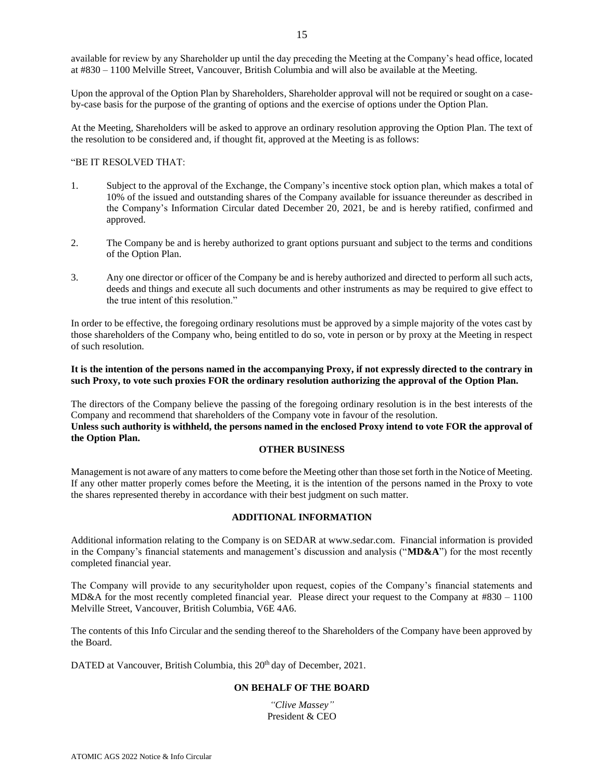available for review by any Shareholder up until the day preceding the Meeting at the Company's head office, located at #830 – 1100 Melville Street, Vancouver, British Columbia and will also be available at the Meeting.

Upon the approval of the Option Plan by Shareholders, Shareholder approval will not be required or sought on a caseby-case basis for the purpose of the granting of options and the exercise of options under the Option Plan.

At the Meeting, Shareholders will be asked to approve an ordinary resolution approving the Option Plan. The text of the resolution to be considered and, if thought fit, approved at the Meeting is as follows:

# "BE IT RESOLVED THAT:

- 1. Subject to the approval of the Exchange, the Company's incentive stock option plan, which makes a total of 10% of the issued and outstanding shares of the Company available for issuance thereunder as described in the Company's Information Circular dated December 20, 2021, be and is hereby ratified, confirmed and approved.
- 2. The Company be and is hereby authorized to grant options pursuant and subject to the terms and conditions of the Option Plan.
- 3. Any one director or officer of the Company be and is hereby authorized and directed to perform all such acts, deeds and things and execute all such documents and other instruments as may be required to give effect to the true intent of this resolution."

In order to be effective, the foregoing ordinary resolutions must be approved by a simple majority of the votes cast by those shareholders of the Company who, being entitled to do so, vote in person or by proxy at the Meeting in respect of such resolution.

# **It is the intention of the persons named in the accompanying Proxy, if not expressly directed to the contrary in such Proxy, to vote such proxies FOR the ordinary resolution authorizing the approval of the Option Plan.**

The directors of the Company believe the passing of the foregoing ordinary resolution is in the best interests of the Company and recommend that shareholders of the Company vote in favour of the resolution. **Unless such authority is withheld, the persons named in the enclosed Proxy intend to vote FOR the approval of the Option Plan.**

# **OTHER BUSINESS**

Management is not aware of any matters to come before the Meeting other than those set forth in the Notice of Meeting. If any other matter properly comes before the Meeting, it is the intention of the persons named in the Proxy to vote the shares represented thereby in accordance with their best judgment on such matter.

# **ADDITIONAL INFORMATION**

Additional information relating to the Company is on SEDAR at www.sedar.com. Financial information is provided in the Company's financial statements and management's discussion and analysis ("**MD&A**") for the most recently completed financial year.

The Company will provide to any securityholder upon request, copies of the Company's financial statements and MD&A for the most recently completed financial year. Please direct your request to the Company at #830 – 1100 Melville Street, Vancouver, British Columbia, V6E 4A6.

The contents of this Info Circular and the sending thereof to the Shareholders of the Company have been approved by the Board.

DATED at Vancouver, British Columbia, this 20<sup>th</sup> day of December, 2021.

# **ON BEHALF OF THE BOARD**

*"Clive Massey"*  President & CEO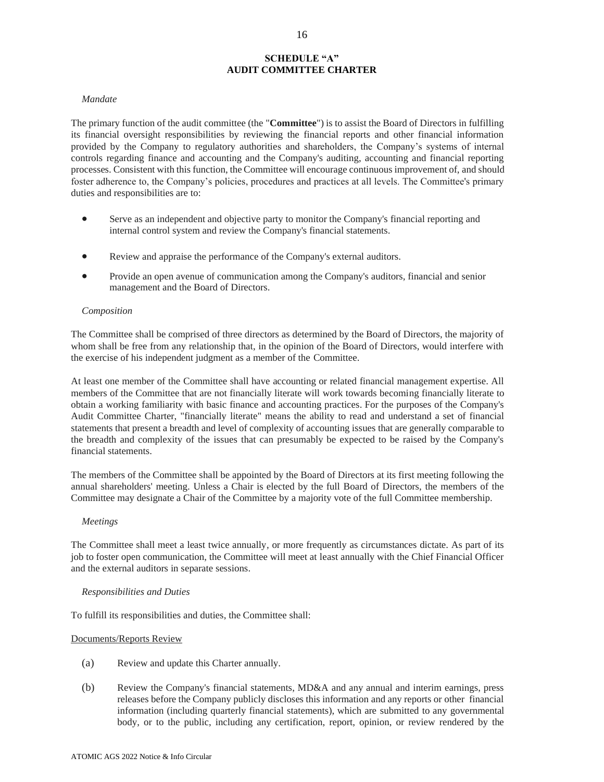# **SCHEDULE "A" AUDIT COMMITTEE CHARTER**

### *Mandate*

The primary function of the audit committee (the "**Committee**") is to assist the Board of Directors in fulfilling its financial oversight responsibilities by reviewing the financial reports and other financial information provided by the Company to regulatory authorities and shareholders, the Company's systems of internal controls regarding finance and accounting and the Company's auditing, accounting and financial reporting processes. Consistent with this function, the Committee will encourage continuous improvement of, and should foster adherence to, the Company's policies, procedures and practices at all levels. The Committee's primary duties and responsibilities are to:

- Serve as an independent and objective party to monitor the Company's financial reporting and internal control system and review the Company's financial statements.
- Review and appraise the performance of the Company's external auditors.
- Provide an open avenue of communication among the Company's auditors, financial and senior management and the Board of Directors.

#### *Composition*

The Committee shall be comprised of three directors as determined by the Board of Directors, the majority of whom shall be free from any relationship that, in the opinion of the Board of Directors, would interfere with the exercise of his independent judgment as a member of the Committee.

At least one member of the Committee shall have accounting or related financial management expertise. All members of the Committee that are not financially literate will work towards becoming financially literate to obtain a working familiarity with basic finance and accounting practices. For the purposes of the Company's Audit Committee Charter, "financially literate" means the ability to read and understand a set of financial statements that present a breadth and level of complexity of accounting issues that are generally comparable to the breadth and complexity of the issues that can presumably be expected to be raised by the Company's financial statements.

The members of the Committee shall be appointed by the Board of Directors at its first meeting following the annual shareholders' meeting. Unless a Chair is elected by the full Board of Directors, the members of the Committee may designate a Chair of the Committee by a majority vote of the full Committee membership.

#### *Meetings*

The Committee shall meet a least twice annually*,* or more frequently as circumstances dictate. As part of its job to foster open communication, the Committee will meet at least annually with the Chief Financial Officer and the external auditors in separate sessions.

#### *Responsibilities and Duties*

To fulfill its responsibilities and duties, the Committee shall:

#### Documents/Reports Review

- (a) Review and update this Charter annually.
- (b) Review the Company's financial statements, MD&A and any annual and interim earnings, press releases before the Company publicly discloses this information and any reports or other financial information (including quarterly financial statements), which are submitted to any governmental body, or to the public, including any certification, report, opinion, or review rendered by the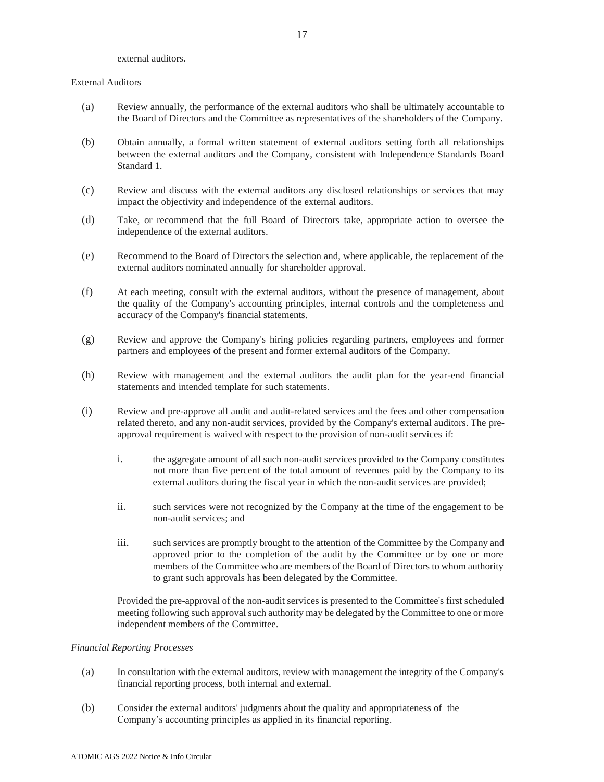external auditors.

#### External Auditors

- (a) Review annually, the performance of the external auditors who shall be ultimately accountable to the Board of Directors and the Committee as representatives of the shareholders of the Company.
- (b) Obtain annually, a formal written statement of external auditors setting forth all relationships between the external auditors and the Company, consistent with Independence Standards Board Standard 1.
- (c) Review and discuss with the external auditors any disclosed relationships or services that may impact the objectivity and independence of the external auditors.
- (d) Take, or recommend that the full Board of Directors take, appropriate action to oversee the independence of the external auditors.
- (e) Recommend to the Board of Directors the selection and, where applicable, the replacement of the external auditors nominated annually for shareholder approval.
- (f) At each meeting, consult with the external auditors, without the presence of management, about the quality of the Company's accounting principles, internal controls and the completeness and accuracy of the Company's financial statements.
- (g) Review and approve the Company's hiring policies regarding partners, employees and former partners and employees of the present and former external auditors of the Company.
- (h) Review with management and the external auditors the audit plan for the year-end financial statements and intended template for such statements.
- (i) Review and pre-approve all audit and audit-related services and the fees and other compensation related thereto, and any non-audit services, provided by the Company's external auditors. The preapproval requirement is waived with respect to the provision of non-audit services if:
	- i. the aggregate amount of all such non-audit services provided to the Company constitutes not more than five percent of the total amount of revenues paid by the Company to its external auditors during the fiscal year in which the non-audit services are provided;
	- ii. such services were not recognized by the Company at the time of the engagement to be non-audit services; and
	- iii. such services are promptly brought to the attention of the Committee by the Company and approved prior to the completion of the audit by the Committee or by one or more members of the Committee who are members of the Board of Directors to whom authority to grant such approvals has been delegated by the Committee.

Provided the pre-approval of the non-audit services is presented to the Committee's first scheduled meeting following such approval such authority may be delegated by the Committee to one or more independent members of the Committee.

# *Financial Reporting Processes*

- (a) In consultation with the external auditors, review with management the integrity of the Company's financial reporting process, both internal and external.
- (b) Consider the external auditors' judgments about the quality and appropriateness of the Company's accounting principles as applied in its financial reporting.